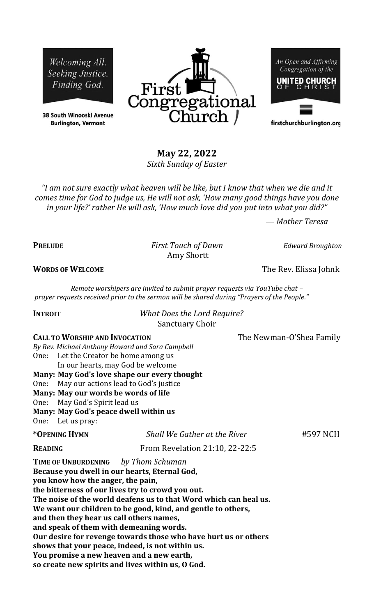Welcoming All. Seeking Justice. Finding God.

38 South Winooski Avenue **Burlington, Vermont** 



An Open and Affirming Congregation of the **UNITED CHURCH** 

firstchurchburlington.org

# **May 22, 2022**

*Sixth Sunday of Easter*

*"I am not sure exactly what heaven will be like, but I know that when we die and it comes time for God to judge us, He will not ask, 'How many good things have you done in your life?' rather He will ask, 'How much love did you put into what you did?"* 

Amy Shortt

*— Mother Teresa*

**PRELUDE** *First Touch of Dawn Edward Broughton*

**WORDS OF WELCOME** The Rev. Elissa Johnk

*Remote worshipers are invited to submit prayer requests via YouTube chat – prayer requests received prior to the sermon will be shared during "Prayers of the People."*

**INTROIT** *What Does the Lord Require?*  Sanctuary Choir

**CALL TO WORSHIP AND INVOCATION** The Newman-O'Shea Family

One: Let the Creator be home among us In our hearts, may God be welcome **Many: May God's love shape our every thought** One: May our actions lead to God's justice **Many: May our words be words of life** One: May God's Spirit lead us **Many: May God's peace dwell within us**

*By Rev. Michael Anthony Howard and Sara Campbell*

One: Let us pray:

| *OPENING HYMN | Shall We Gather at the River | #597 NCH |
|---------------|------------------------------|----------|
|               |                              |          |

**READING** From Revelation 21:10, 22-22:5

**TIME OF UNBURDENING** *by Thom Schuman* **Because you dwell in our hearts, Eternal God,**

**you know how the anger, the pain,**

**the bitterness of our lives try to crowd you out. The noise of the world deafens us to that Word which can heal us.**

**We want our children to be good, kind, and gentle to others,**

**and then they hear us call others names,**

**and speak of them with demeaning words.**

**Our desire for revenge towards those who have hurt us or others**

**shows that your peace, indeed, is not within us.** 

**You promise a new heaven and a new earth,**

**so create new spirits and lives within us, O God.**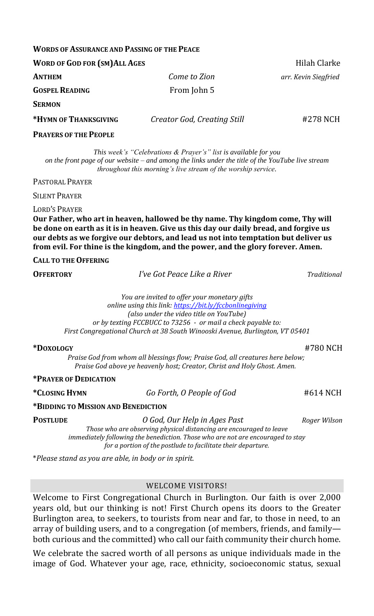## **WORDS OF ASSURANCE AND PASSING OF THE PEACE**

| <b>WORD OF GOD FOR (SM) ALL AGES</b> |                             | Hilah Clarke         |
|--------------------------------------|-----------------------------|----------------------|
| ANTHEM                               | Come to Zion                | arr. Kevin Siegfried |
| <b>GOSPEL READING</b>                | From John 5                 |                      |
| <b>SERMON</b>                        |                             |                      |
| *HYMN OF THANKSGIVING                | Creator God, Creating Still | #278 NCH             |
| <b>PRAYERS OF THE PEOPLE</b>         |                             |                      |

*This week's "Celebrations & Prayer's" list is available for you on the front page of our website – and among the links under the title of the YouTube live stream throughout this morning's live stream of the worship service.*

PASTORAL PRAYER

SILENT PRAYER

## LORD'S PRAYER

**Our Father, who art in heaven, hallowed be thy name. Thy kingdom come, Thy will be done on earth as it is in heaven. Give us this day our daily bread, and forgive us our debts as we forgive our debtors, and lead us not into temptation but deliver us from evil. For thine is the kingdom, and the power, and the glory forever. Amen.**

## **CALL TO THE OFFERING**

**OFFERTORY** *I've Got Peace Like a River Traditional*

*You are invited to offer your monetary gifts online using this link:<https://bit.ly/fccbonlinegiving> (also under the video title on YouTube) or by texting FCCBUCC to 73256 - or mail a check payable to: First Congregational Church at 38 South Winooski Avenue, Burlington, VT 05401*

#### **\*DOXOLOGY** #780 NCH

*Praise God from whom all blessings flow; Praise God, all creatures here below; Praise God above ye heavenly host; Creator, Christ and Holy Ghost. Amen.*

## **\*PRAYER OF DEDICATION**

**\*CLOSING HYMN** *Go Forth, O People of God* #614 NCH

## **\*BIDDING TO MISSION AND BENEDICTION**

**POSTLUDE** *O God, Our Help in Ages Past Roger Wilson*

*Those who are observing physical distancing are encouraged to leave immediately following the benediction. Those who are not are encouraged to stay for a portion of the postlude to facilitate their departure.*

\**Please stand as you are able, in body or in spirit.*

## WELCOME VISITORS!

Welcome to First Congregational Church in Burlington. Our faith is over 2,000 years old, but our thinking is not! First Church opens its doors to the Greater Burlington area, to seekers, to tourists from near and far, to those in need, to an array of building users, and to a congregation (of members, friends, and family both curious and the committed) who call our faith community their church home.

We celebrate the sacred worth of all persons as unique individuals made in the image of God. Whatever your age, race, ethnicity, socioeconomic status, sexual